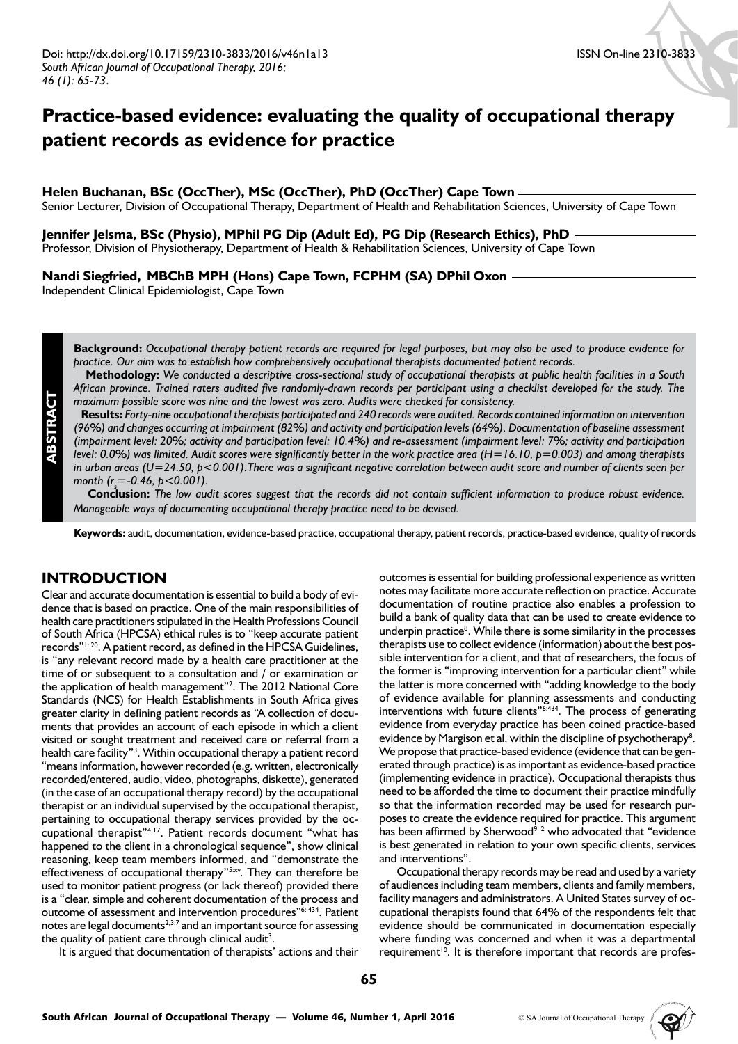# **Practice-based evidence: evaluating the quality of occupational therapy patient records as evidence for practice**

### **Helen Buchanan, BSc (OccTher), MSc (OccTher), PhD (OccTher) Cape Town**

Senior Lecturer, Division of Occupational Therapy, Department of Health and Rehabilitation Sciences, University of Cape Town

#### **Jennifer Jelsma, BSc (Physio), MPhil PG Dip (Adult Ed), PG Dip (Research Ethics), PhD**

Professor, Division of Physiotherapy, Department of Health & Rehabilitation Sciences, University of Cape Town

#### **Nandi Siegfried, MBChB MPH (Hons) Cape Town, FCPHM (SA) DPhil Oxon**

Independent Clinical Epidemiologist, Cape Town

**Background:** *Occupational therapy patient records are required for legal purposes, but may also be used to produce evidence for practice. Our aim was to establish how comprehensively occupational therapists documented patient records.*

 **Methodology:** *We conducted a descriptive cross-sectional study of occupational therapists at public health facilities in a South African province. Trained raters audited five randomly-drawn records per participant using a checklist developed for the study. The maximum possible score was nine and the lowest was zero. Audits were checked for consistency.* 

 **Results:** *Forty-nine occupational therapists participated and 240 records were audited. Records contained information on intervention (96%) and changes occurring at impairment (82%) and activity and participation levels (64%). Documentation of baseline assessment (impairment level: 20%; activity and participation level: 10.4%) and re-assessment (impairment level: 7%; activity and participation level: 0.0%) was limited. Audit scores were significantly better in the work practice area (H=16.10, p=0.003) and among therapists in urban areas (U=24.50, p<0.001).There was a significant negative correlation between audit score and number of clients seen per month (r<sub>s</sub>*=-0.46, *p*<0.001).

 **Conclusion:** *The low audit scores suggest that the records did not contain sufficient information to produce robust evidence. Manageable ways of documenting occupational therapy practice need to be devised.*

**Keywords:** audit, documentation, evidence-based practice, occupational therapy, patient records, practice-based evidence, quality of records

# **INTRODUCTION**

**ABSTRACT**

Clear and accurate documentation is essential to build a body of evidence that is based on practice. One of the main responsibilities of health care practitioners stipulated in the Health Professions Council of South Africa (HPCSA) ethical rules is to "keep accurate patient records"1: 20. A patient record, as defined in the HPCSA Guidelines, is "any relevant record made by a health care practitioner at the time of or subsequent to a consultation and / or examination or the application of health management"2 . The 2012 National Core Standards (NCS) for Health Establishments in South Africa gives greater clarity in defining patient records as "A collection of documents that provides an account of each episode in which a client visited or sought treatment and received care or referral from a health care facility"<sup>3</sup>. Within occupational therapy a patient record "means information, however recorded (e.g. written, electronically recorded/entered, audio, video, photographs, diskette), generated (in the case of an occupational therapy record) by the occupational therapist or an individual supervised by the occupational therapist, pertaining to occupational therapy services provided by the occupational therapist"4:17. Patient records document "what has happened to the client in a chronological sequence", show clinical reasoning, keep team members informed, and "demonstrate the effectiveness of occupational therapy"5:xv. They can therefore be used to monitor patient progress (or lack thereof) provided there is a "clear, simple and coherent documentation of the process and outcome of assessment and intervention procedures"6: 434. Patient notes are legal documents<sup>2,3,7</sup> and an important source for assessing the quality of patient care through clinical audit<sup>3</sup>.

It is argued that documentation of therapists' actions and their

outcomes is essential for building professional experience as written notes may facilitate more accurate reflection on practice. Accurate documentation of routine practice also enables a profession to build a bank of quality data that can be used to create evidence to underpin practice<sup>8</sup>. While there is some similarity in the processes therapists use to collect evidence (information) about the best possible intervention for a client, and that of researchers, the focus of the former is "improving intervention for a particular client" while the latter is more concerned with "adding knowledge to the body of evidence available for planning assessments and conducting interventions with future clients"6:434. The process of generating evidence from everyday practice has been coined practice-based evidence by Margison et al. within the discipline of psychotherapy<sup>8</sup>. We propose that practice-based evidence (evidence that can be generated through practice) is as important as evidence-based practice (implementing evidence in practice). Occupational therapists thus need to be afforded the time to document their practice mindfully so that the information recorded may be used for research purposes to create the evidence required for practice. This argument has been affirmed by Sherwood<sup>9: 2</sup> who advocated that "evidence is best generated in relation to your own specific clients, services and interventions".

Occupational therapy records may be read and used by a variety of audiences including team members, clients and family members, facility managers and administrators. A United States survey of occupational therapists found that 64% of the respondents felt that evidence should be communicated in documentation especially where funding was concerned and when it was a departmental requirement<sup>10</sup>. It is therefore important that records are profes-

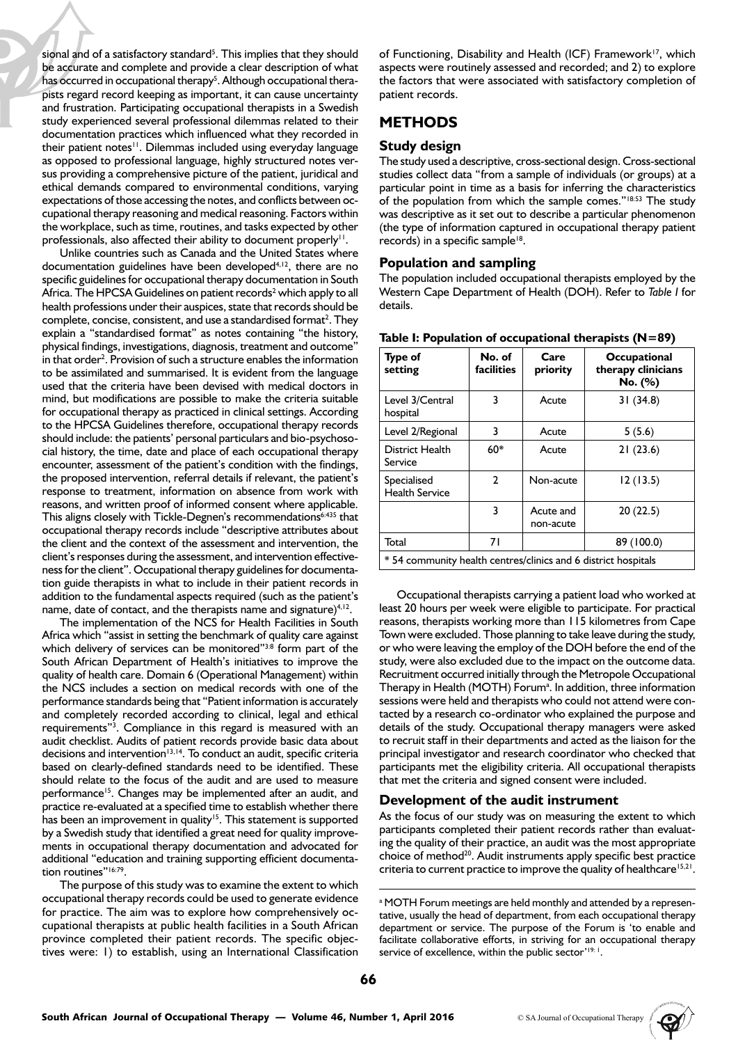sional and of a satisfactory standard<sup>5</sup>. This implies that they should be accurate and complete and provide a clear description of what has occurred in occupational therapy<sup>5</sup>. Although occupational therapists regard record keeping as important, it can cause uncertainty and frustration. Participating occupational therapists in a Swedish study experienced several professional dilemmas related to their documentation practices which influenced what they recorded in their patient notes<sup>11</sup>. Dilemmas included using everyday language as opposed to professional language, highly structured notes versus providing a comprehensive picture of the patient, juridical and ethical demands compared to environmental conditions, varying expectations of those accessing the notes, and conflicts between occupational therapy reasoning and medical reasoning. Factors within the workplace, such as time, routines, and tasks expected by other professionals, also affected their ability to document properly<sup>11</sup>.

Unlike countries such as Canada and the United States where documentation guidelines have been developed<sup>4,12</sup>, there are no specific guidelines for occupational therapy documentation in South Africa. The HPCSA Guidelines on patient records<sup>2</sup> which apply to all health professions under their auspices, state that records should be complete, concise, consistent, and use a standardised format<sup>2</sup>. They explain a "standardised format" as notes containing "the history, physical findings, investigations, diagnosis, treatment and outcome" in that order<sup>2</sup>. Provision of such a structure enables the information to be assimilated and summarised. It is evident from the language used that the criteria have been devised with medical doctors in mind, but modifications are possible to make the criteria suitable for occupational therapy as practiced in clinical settings. According to the HPCSA Guidelines therefore, occupational therapy records should include: the patients' personal particulars and bio-psychosocial history, the time, date and place of each occupational therapy encounter, assessment of the patient's condition with the findings, the proposed intervention, referral details if relevant, the patient's response to treatment, information on absence from work with reasons, and written proof of informed consent where applicable. This aligns closely with Tickle-Degnen's recommendations<sup>6:435</sup> that occupational therapy records include "descriptive attributes about the client and the context of the assessment and intervention, the client's responses during the assessment, and intervention effectiveness for the client". Occupational therapy guidelines for documentation guide therapists in what to include in their patient records in addition to the fundamental aspects required (such as the patient's name, date of contact, and the therapists name and signature $4,12$ .

The implementation of the NCS for Health Facilities in South Africa which "assist in setting the benchmark of quality care against which delivery of services can be monitored"<sup>3:8</sup> form part of the South African Department of Health's initiatives to improve the quality of health care. Domain 6 (Operational Management) within the NCS includes a section on medical records with one of the performance standards being that "Patient information is accurately and completely recorded according to clinical, legal and ethical requirements"<sup>3</sup>. Compliance in this regard is measured with an audit checklist. Audits of patient records provide basic data about decisions and intervention<sup>13,14</sup>. To conduct an audit, specific criteria based on clearly-defined standards need to be identified. These should relate to the focus of the audit and are used to measure performance<sup>15</sup>. Changes may be implemented after an audit, and practice re-evaluated at a specified time to establish whether there has been an improvement in quality<sup>15</sup>. This statement is supported by a Swedish study that identified a great need for quality improvements in occupational therapy documentation and advocated for additional "education and training supporting efficient documentation routines"<sup>16:79</sup>.

The purpose of this study was to examine the extent to which occupational therapy records could be used to generate evidence for practice. The aim was to explore how comprehensively occupational therapists at public health facilities in a South African province completed their patient records. The specific objectives were: 1) to establish, using an International Classification

of Functioning, Disability and Health (ICF) Framework<sup>17</sup>, which aspects were routinely assessed and recorded; and 2) to explore the factors that were associated with satisfactory completion of patient records.

# **METHODS**

# **Study design**

The study used a descriptive, cross-sectional design. Cross-sectional studies collect data "from a sample of individuals (or groups) at a particular point in time as a basis for inferring the characteristics of the population from which the sample comes."<sup>18:53</sup> The study was descriptive as it set out to describe a particular phenomenon (the type of information captured in occupational therapy patient records) in a specific sample<sup>18</sup>.

### **Population and sampling**

The population included occupational therapists employed by the Western Cape Department of Health (DOH). Refer to *Table I* for details.

| <b>Type of</b><br>setting                                      | No. of<br><b>facilities</b> | Care<br>priority       | Occupational<br>therapy clinicians<br>No. (%) |  |  |  |
|----------------------------------------------------------------|-----------------------------|------------------------|-----------------------------------------------|--|--|--|
| Level 3/Central<br>hospital                                    | 3                           | Acute                  | 31(34.8)                                      |  |  |  |
| Level 2/Regional                                               | 3                           | Acute                  | 5(5.6)                                        |  |  |  |
| District Health<br>Service                                     | $60*$                       | Acute                  | 21(23.6)                                      |  |  |  |
| Specialised<br><b>Health Service</b>                           | $\mathbf{2}$                | Non-acute              | 12(13.5)                                      |  |  |  |
|                                                                | 3                           | Acute and<br>non-acute | 20(22.5)                                      |  |  |  |
| Total                                                          | 71                          |                        | 89 (100.0)                                    |  |  |  |
| * 54 community health centres/clinics and 6 district hospitals |                             |                        |                                               |  |  |  |

#### **Table I: Population of occupational therapists (N=89)**

Occupational therapists carrying a patient load who worked at least 20 hours per week were eligible to participate. For practical reasons, therapists working more than 115 kilometres from Cape Town were excluded. Those planning to take leave during the study, or who were leaving the employ of the DOH before the end of the study, were also excluded due to the impact on the outcome data. Recruitment occurred initially through the Metropole Occupational Therapy in Health (MOTH) Forum<sup>a</sup>. In addition, three information sessions were held and therapists who could not attend were contacted by a research co-ordinator who explained the purpose and details of the study. Occupational therapy managers were asked to recruit staff in their departments and acted as the liaison for the principal investigator and research coordinator who checked that participants met the eligibility criteria. All occupational therapists that met the criteria and signed consent were included.

#### **Development of the audit instrument**

As the focus of our study was on measuring the extent to which participants completed their patient records rather than evaluating the quality of their practice, an audit was the most appropriate choice of method<sup>20</sup>. Audit instruments apply specific best practice criteria to current practice to improve the quality of healthcare<sup>15,21</sup>.



a MOTH Forum meetings are held monthly and attended by a representative, usually the head of department, from each occupational therapy department or service. The purpose of the Forum is 'to enable and facilitate collaborative efforts, in striving for an occupational therapy service of excellence, within the public sector'<sup>19: 1</sup>.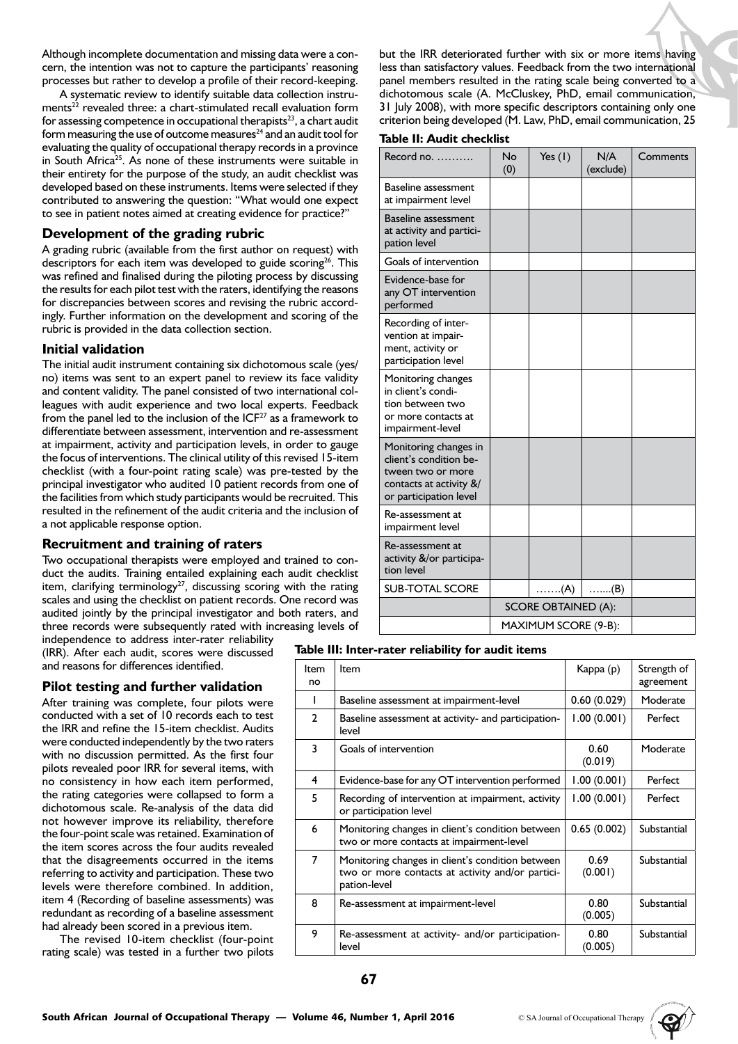Although incomplete documentation and missing data were a concern, the intention was not to capture the participants' reasoning processes but rather to develop a profile of their record-keeping.

A systematic review to identify suitable data collection instruments<sup>22</sup> revealed three: a chart-stimulated recall evaluation form for assessing competence in occupational therapists $23$ , a chart audit form measuring the use of outcome measures $^{24}$  and an audit tool for evaluating the quality of occupational therapy records in a province in South Africa<sup>25</sup>. As none of these instruments were suitable in their entirety for the purpose of the study, an audit checklist was developed based on these instruments. Items were selected if they contributed to answering the question: "What would one expect to see in patient notes aimed at creating evidence for practice?"

### **Development of the grading rubric**

A grading rubric (available from the first author on request) with descriptors for each item was developed to guide scoring<sup>26</sup>. This was refined and finalised during the piloting process by discussing the results for each pilot test with the raters, identifying the reasons for discrepancies between scores and revising the rubric accordingly. Further information on the development and scoring of the rubric is provided in the data collection section.

# **Initial validation**

The initial audit instrument containing six dichotomous scale (yes/ no) items was sent to an expert panel to review its face validity and content validity. The panel consisted of two international colleagues with audit experience and two local experts. Feedback from the panel led to the inclusion of the  $ICF<sup>27</sup>$  as a framework to differentiate between assessment, intervention and re-assessment at impairment, activity and participation levels, in order to gauge the focus of interventions. The clinical utility of this revised 15-item checklist (with a four-point rating scale) was pre-tested by the principal investigator who audited 10 patient records from one of the facilities from which study participants would be recruited. This resulted in the refinement of the audit criteria and the inclusion of a not applicable response option.

#### **Recruitment and training of raters**

Two occupational therapists were employed and trained to conduct the audits. Training entailed explaining each audit checklist item, clarifying terminology<sup>27</sup>, discussing scoring with the rating scales and using the checklist on patient records. One record was audited jointly by the principal investigator and both raters, and three records were subsequently rated with increasing levels of

independence to address inter-rater reliability (IRR). After each audit, scores were discussed and reasons for differences identified.

# **Pilot testing and further validation**

After training was complete, four pilots were conducted with a set of 10 records each to test the IRR and refine the 15-item checklist. Audits were conducted independently by the two raters with no discussion permitted. As the first four pilots revealed poor IRR for several items, with no consistency in how each item performed, the rating categories were collapsed to form a dichotomous scale. Re-analysis of the data did not however improve its reliability, therefore the four-point scale was retained. Examination of the item scores across the four audits revealed that the disagreements occurred in the items referring to activity and participation. These two levels were therefore combined. In addition, item 4 (Recording of baseline assessments) was redundant as recording of a baseline assessment had already been scored in a previous item.

The revised 10-item checklist (four-point rating scale) was tested in a further two pilots but the IRR deteriorated further with six or more items having less than satisfactory values. Feedback from the two international panel members resulted in the rating scale being converted to a dichotomous scale (A. McCluskey, PhD, email communication, 31 July 2008), with more specific descriptors containing only one criterion being developed (M. Law, PhD, email communication, 25

#### **Table II: Audit checklist**

| Record no. $\dots$                                                                                                          | No<br>(0)                  | Yes $(1)$ | N/A<br>(exclude) | Comments |
|-----------------------------------------------------------------------------------------------------------------------------|----------------------------|-----------|------------------|----------|
| Baseline assessment<br>at impairment level                                                                                  |                            |           |                  |          |
| <b>Baseline assessment</b><br>at activity and partici-<br>pation level                                                      |                            |           |                  |          |
| Goals of intervention                                                                                                       |                            |           |                  |          |
| Evidence-base for<br>any OT intervention<br>performed                                                                       |                            |           |                  |          |
| Recording of inter-<br>vention at impair-<br>ment, activity or<br>participation level                                       |                            |           |                  |          |
| Monitoring changes<br>in client's condi-<br>tion between two<br>or more contacts at<br>impairment-level                     |                            |           |                  |          |
| Monitoring changes in<br>client's condition be-<br>tween two or more<br>contacts at activity $\&$<br>or participation level |                            |           |                  |          |
| Re-assessment at<br>impairment level                                                                                        |                            |           |                  |          |
| Re-assessment at<br>activity &/or participa-<br>tion level                                                                  |                            |           |                  |          |
| <b>SUB-TOTAL SCORE</b>                                                                                                      |                            | $(A)$     | $\ldots$ (B)     |          |
|                                                                                                                             | <b>SCORE OBTAINED (A):</b> |           |                  |          |
|                                                                                                                             | MAXIMUM SCORE (9-B):       |           |                  |          |

#### **Table III: Inter-rater reliability for audit items**

| Item<br>no     | Item                                                                                                                 | Kappa (p)       | Strength of<br>agreement |
|----------------|----------------------------------------------------------------------------------------------------------------------|-----------------|--------------------------|
|                | Baseline assessment at impairment-level                                                                              | 0.60(0.029)     | Moderate                 |
| $\mathbf{2}$   | Baseline assessment at activity- and participation-<br>level                                                         | 1.00(0.001)     | Perfect                  |
| 3              | Goals of intervention                                                                                                | 0.60<br>(0.019) | Moderate                 |
| 4              | Evidence-base for any OT intervention performed                                                                      | 1.00(0.001)     | Perfect                  |
| 5              | Recording of intervention at impairment, activity<br>or participation level                                          | 1.00(0.001)     | Perfect                  |
| 6              | Monitoring changes in client's condition between<br>two or more contacts at impairment-level                         | 0.65(0.002)     | Substantial              |
| $\overline{7}$ | Monitoring changes in client's condition between<br>two or more contacts at activity and/or partici-<br>pation-level | 0.69<br>(0.001) | Substantial              |
| 8              | Re-assessment at impairment-level                                                                                    | 0.80<br>(0.005) | Substantial              |
| 9              | Re-assessment at activity- and/or participation-<br>level                                                            | 0.80<br>(0.005) | Substantial              |

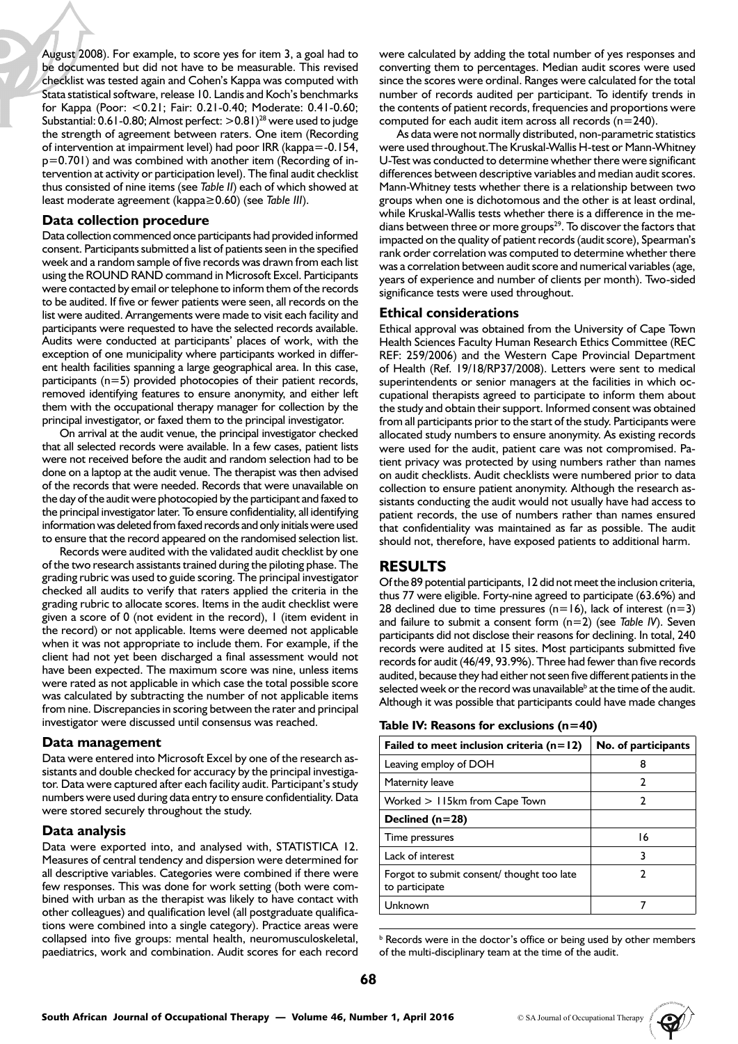August 2008). For example, to score yes for item 3, a goal had to be documented but did not have to be measurable. This revised checklist was tested again and Cohen's Kappa was computed with Stata statistical software, release 10. Landis and Koch's benchmarks for Kappa (Poor: <0.21; Fair: 0.21-0.40; Moderate: 0.41-0.60; Substantial: 0.61-0.80; Almost perfect:  $>$  0.81)<sup>28</sup> were used to judge the strength of agreement between raters. One item (Recording of intervention at impairment level) had poor IRR (kappa=-0.154, p=0.701) and was combined with another item (Recording of intervention at activity or participation level). The final audit checklist thus consisted of nine items (see *Table II*) each of which showed at least moderate agreement (kappa≥0.60) (see *Table III*).

#### **Data collection procedure**

Data collection commenced once participants had provided informed consent. Participants submitted a list of patients seen in the specified week and a random sample of five records was drawn from each list using the ROUND RAND command in Microsoft Excel. Participants were contacted by email or telephone to inform them of the records to be audited. If five or fewer patients were seen, all records on the list were audited. Arrangements were made to visit each facility and participants were requested to have the selected records available. Audits were conducted at participants' places of work, with the exception of one municipality where participants worked in different health facilities spanning a large geographical area. In this case, participants (n=5) provided photocopies of their patient records, removed identifying features to ensure anonymity, and either left them with the occupational therapy manager for collection by the principal investigator, or faxed them to the principal investigator.

On arrival at the audit venue, the principal investigator checked that all selected records were available. In a few cases, patient lists were not received before the audit and random selection had to be done on a laptop at the audit venue. The therapist was then advised of the records that were needed. Records that were unavailable on the day of the audit were photocopied by the participant and faxed to the principal investigator later. To ensure confidentiality, all identifying information was deleted from faxed records and only initials were used to ensure that the record appeared on the randomised selection list.

Records were audited with the validated audit checklist by one of the two research assistants trained during the piloting phase. The grading rubric was used to guide scoring. The principal investigator checked all audits to verify that raters applied the criteria in the grading rubric to allocate scores. Items in the audit checklist were given a score of 0 (not evident in the record), 1 (item evident in the record) or not applicable. Items were deemed not applicable when it was not appropriate to include them. For example, if the client had not yet been discharged a final assessment would not have been expected. The maximum score was nine, unless items were rated as not applicable in which case the total possible score was calculated by subtracting the number of not applicable items from nine. Discrepancies in scoring between the rater and principal investigator were discussed until consensus was reached.

#### **Data management**

Data were entered into Microsoft Excel by one of the research assistants and double checked for accuracy by the principal investigator. Data were captured after each facility audit. Participant's study numbers were used during data entry to ensure confidentiality. Data were stored securely throughout the study.

#### **Data analysis**

Data were exported into, and analysed with, STATISTICA 12. Measures of central tendency and dispersion were determined for all descriptive variables. Categories were combined if there were few responses. This was done for work setting (both were combined with urban as the therapist was likely to have contact with other colleagues) and qualification level (all postgraduate qualifications were combined into a single category). Practice areas were collapsed into five groups: mental health, neuromusculoskeletal, paediatrics, work and combination. Audit scores for each record

were calculated by adding the total number of yes responses and converting them to percentages. Median audit scores were used since the scores were ordinal. Ranges were calculated for the total number of records audited per participant. To identify trends in the contents of patient records, frequencies and proportions were computed for each audit item across all records  $(n=240)$ .

As data were not normally distributed, non-parametric statistics were used throughout.The Kruskal-Wallis H-test or Mann-Whitney U-Test was conducted to determine whether there were significant differences between descriptive variables and median audit scores. Mann-Whitney tests whether there is a relationship between two groups when one is dichotomous and the other is at least ordinal, while Kruskal-Wallis tests whether there is a difference in the medians between three or more groups<sup>29</sup>. To discover the factors that impacted on the quality of patient records (audit score), Spearman's rank order correlation was computed to determine whether there was a correlation between audit score and numerical variables (age, years of experience and number of clients per month). Two-sided significance tests were used throughout.

#### **Ethical considerations**

Ethical approval was obtained from the University of Cape Town Health Sciences Faculty Human Research Ethics Committee (REC REF: 259/2006) and the Western Cape Provincial Department of Health (Ref. 19/18/RP37/2008). Letters were sent to medical superintendents or senior managers at the facilities in which occupational therapists agreed to participate to inform them about the study and obtain their support. Informed consent was obtained from all participants prior to the start of the study. Participants were allocated study numbers to ensure anonymity. As existing records were used for the audit, patient care was not compromised. Patient privacy was protected by using numbers rather than names on audit checklists. Audit checklists were numbered prior to data collection to ensure patient anonymity. Although the research assistants conducting the audit would not usually have had access to patient records, the use of numbers rather than names ensured that confidentiality was maintained as far as possible. The audit should not, therefore, have exposed patients to additional harm.

# **RESULTS**

Of the 89 potential participants, 12 did not meet the inclusion criteria, thus 77 were eligible. Forty-nine agreed to participate (63.6%) and 28 declined due to time pressures (n=16), lack of interest (n=3) and failure to submit a consent form (n=2) (see *Table IV*). Seven participants did not disclose their reasons for declining. In total, 240 records were audited at 15 sites. Most participants submitted five records for audit (46/49, 93.9%). Three had fewer than five records audited, because they had either not seen five different patients in the selected week or the record was unavailable<sup>b</sup> at the time of the audit. Although it was possible that participants could have made changes

| Failed to meet inclusion criteria $(n=12)$                   | No. of participants |
|--------------------------------------------------------------|---------------------|
| Leaving employ of DOH                                        | 8                   |
| Maternity leave                                              | 2                   |
| Worked $>115$ km from Cape Town                              | 2                   |
| Declined $(n=28)$                                            |                     |
| Time pressures                                               | 16                  |
| Lack of interest                                             | 3                   |
| Forgot to submit consent/ thought too late<br>to participate | 2                   |
| Unknown                                                      |                     |

**b** Records were in the doctor's office or being used by other members of the multi-disciplinary team at the time of the audit.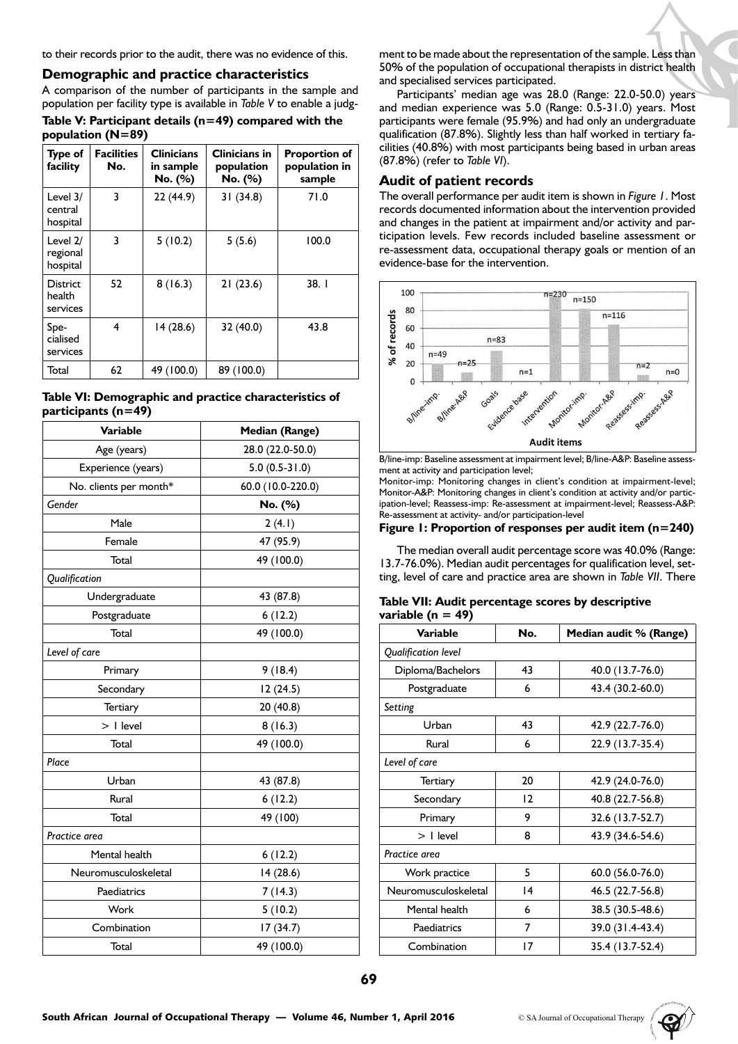to their records prior to the audit, there was no evidence of this.

#### **Demographic and practice characteristics**

A comparison of the number of participants in the sample and population per facility type is available in *Table V* to enable a judg-

| Table V: Participant details $(n=49)$ compared with the |  |  |
|---------------------------------------------------------|--|--|
| population (N=89)                                       |  |  |

| Type of<br>facility                   | <b>Facilities</b><br>No. | <b>Clinicians</b><br>in sample<br>No. (%) | Clinicians in<br>population<br>No. (%) | <b>Proportion of</b><br>population in<br>sample |
|---------------------------------------|--------------------------|-------------------------------------------|----------------------------------------|-------------------------------------------------|
| Level $3/$<br>central<br>hospital     | 3                        | 22 (44.9)                                 | 31(34.8)                               | 71.0                                            |
| Level $2/$<br>regional<br>hospital    | 3                        | 5(10.2)                                   | 5(5.6)                                 | 100.0                                           |
| <b>District</b><br>health<br>services | 52                       | 8(16.3)                                   | 21(23.6)                               | 38.1                                            |
| Spe-<br>cialised<br>services          | 4                        | 14(28.6)                                  | 32(40.0)                               | 43.8                                            |
| Total                                 | 62                       | 49 (100.0)                                | 89 (100.0)                             |                                                 |



| <b>Variable</b>        | <b>Median (Range)</b> |  |  |  |
|------------------------|-----------------------|--|--|--|
| Age (years)            | 28.0 (22.0-50.0)      |  |  |  |
| Experience (years)     | $5.0(0.5-31.0)$       |  |  |  |
| No. clients per month* | 60.0 (10.0-220.0)     |  |  |  |
| Gender                 | No. (%)               |  |  |  |
| Male                   | 2(4.1)                |  |  |  |
| Female                 | 47 (95.9)             |  |  |  |
| Total                  | 49 (100.0)            |  |  |  |
| Qualification          |                       |  |  |  |
| Undergraduate          | 43 (87.8)             |  |  |  |
| Postgraduate           | 6(12.2)               |  |  |  |
| Total                  | 49 (100.0)            |  |  |  |
| Level of care          |                       |  |  |  |
| Primary                | 9(18.4)               |  |  |  |
| Secondary              | 12(24.5)              |  |  |  |
| <b>Tertiary</b>        | 20 (40.8)             |  |  |  |
| $> 1$ level            | 8(16.3)               |  |  |  |
| Total                  | 49 (100.0)            |  |  |  |
| Place                  |                       |  |  |  |
| Urban                  | 43 (87.8)             |  |  |  |
| Rural                  | 6(12.2)               |  |  |  |
| Total                  | 49 (100)              |  |  |  |
| Practice area          |                       |  |  |  |
| Mental health          | 6(12.2)               |  |  |  |
| Neuromusculoskeletal   | 14 (28.6)             |  |  |  |
| Paediatrics            | 7(14.3)               |  |  |  |
| Work                   | 5(10.2)               |  |  |  |
| Combination            | 17(34.7)              |  |  |  |
| Total                  | 49 (100.0)            |  |  |  |

ment to be made about the representation of the sample. Less than 50% of the population of occupational therapists in district health and specialised services participated.

Participants' median age was 28.0 (Range: 22.0-50.0) years and median experience was 5.0 (Range: 0.5-31.0) years. Most participants were female (95.9%) and had only an undergraduate qualification (87.8%). Slightly less than half worked in tertiary facilities (40.8%) with most participants being based in urban areas (87.8%) (refer to *Table VI*).

### **Audit of patient records**

The overall performance per audit item is shown in *Figure 1*. Most records documented information about the intervention provided and changes in the patient at impairment and/or activity and participation levels. Few records included baseline assessment or re-assessment data, occupational therapy goals or mention of an evidence-base for the intervention.



B/line-imp: Baseline assessment at impairment level; B/line-A&P: Baseline assessment at activity and participation level;

Monitor-imp: Monitoring changes in client's condition at impairment-level; Monitor-A&P: Monitoring changes in client's condition at activity and/or participation-level; Reassess-imp: Re-assessment at impairment-level; Reassess-A&P: Re-assessment at activity- and/or participation-level

#### **Figure 1: Proportion of responses per audit item (n=240)**

The median overall audit percentage score was 40.0% (Range: 13.7-76.0%). Median audit percentages for qualification level, setting, level of care and practice area are shown in *Table VII*. There

#### **Table VII: Audit percentage scores by descriptive variable (n = 49)**

| Variable             | No. | Median audit % (Range) |  |  |  |  |
|----------------------|-----|------------------------|--|--|--|--|
| Qualification level  |     |                        |  |  |  |  |
| Diploma/Bachelors    | 43  | 40.0 (13.7-76.0)       |  |  |  |  |
| Postgraduate         | 6   | 43.4 (30.2-60.0)       |  |  |  |  |
| Setting              |     |                        |  |  |  |  |
| Urban                | 43  | 42.9 (22.7-76.0)       |  |  |  |  |
| Rural                | 6   | 22.9 (13.7-35.4)       |  |  |  |  |
| Level of care        |     |                        |  |  |  |  |
| Tertiary             | 20  | 42.9 (24.0-76.0)       |  |  |  |  |
| Secondary            | 12  | 40.8 (22.7-56.8)       |  |  |  |  |
| Primary              | 9   | 32.6 (13.7-52.7)       |  |  |  |  |
| $>$ I level          | 8   | 43.9 (34.6-54.6)       |  |  |  |  |
| Practice area        |     |                        |  |  |  |  |
| Work practice        | 5   | 60.0 (56.0-76.0)       |  |  |  |  |
| Neuromusculoskeletal | 4   | 46.5 (22.7-56.8)       |  |  |  |  |
| Mental health        | 6   | 38.5 (30.5-48.6)       |  |  |  |  |
| Paediatrics          | 7   | 39.0 (31.4-43.4)       |  |  |  |  |
| Combination          | 17  | 35.4 (13.7-52.4)       |  |  |  |  |

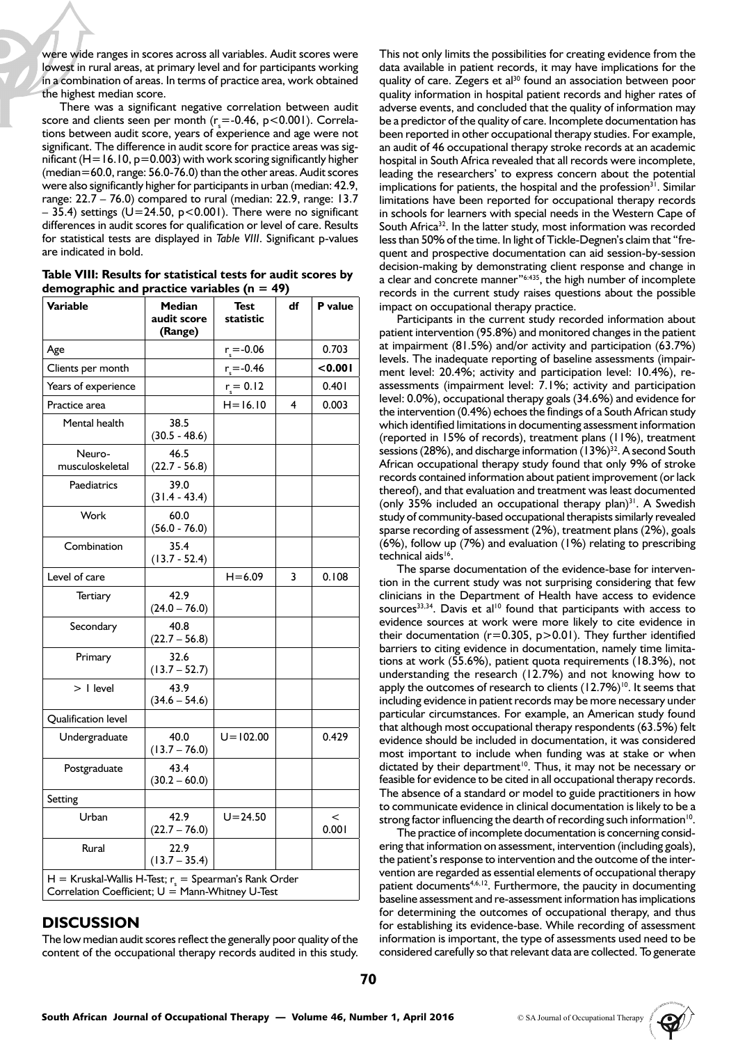were wide ranges in scores across all variables. Audit scores were lowest in rural areas, at primary level and for participants working in a combination of areas. In terms of practice area, work obtained the highest median score.

There was a significant negative correlation between audit score and clients seen per month ( $r_s$ =-0.46, p<0.001). Correlations between audit score, years of experience and age were not significant. The difference in audit score for practice areas was significant ( $H=16.10$ ,  $p=0.003$ ) with work scoring significantly higher (median=60.0, range: 56.0-76.0) than the other areas. Audit scores were also significantly higher for participants in urban (median: 42.9, range: 22.7 – 76.0) compared to rural (median: 22.9, range: 13.7  $-$  35.4) settings ( $U=24.50$ , p<0.001). There were no significant differences in audit scores for qualification or level of care. Results for statistical tests are displayed in *Table VIII*. Significant p-values are indicated in bold.

|  |  |                                                 |  | Table VIII: Results for statistical tests for audit scores by |
|--|--|-------------------------------------------------|--|---------------------------------------------------------------|
|  |  | demographic and practice variables ( $n = 49$ ) |  |                                                               |

| Variable                                                                                                         | Median<br>audit score<br>(Range) | <b>Test</b><br>statistic | df | P value        |  |  |
|------------------------------------------------------------------------------------------------------------------|----------------------------------|--------------------------|----|----------------|--|--|
| Age                                                                                                              |                                  | $r = -0.06$              |    | 0.703          |  |  |
| Clients per month                                                                                                |                                  | $r = -0.46$              |    | < 0.001        |  |  |
| Years of experience                                                                                              |                                  | $r_s = 0.12$             |    | 0.401          |  |  |
| Practice area                                                                                                    |                                  | $H = 16.10$              | 4  | 0.003          |  |  |
| Mental health                                                                                                    | 38.5<br>$(30.5 - 48.6)$          |                          |    |                |  |  |
| Neuro-<br>musculoskeletal                                                                                        | 46.5<br>$(22.7 - 56.8)$          |                          |    |                |  |  |
| Paediatrics                                                                                                      | 39.0<br>$(31.4 - 43.4)$          |                          |    |                |  |  |
| Work                                                                                                             | 60.0<br>$(56.0 - 76.0)$          |                          |    |                |  |  |
| Combination                                                                                                      | 35.4<br>$(13.7 - 52.4)$          |                          |    |                |  |  |
| Level of care                                                                                                    |                                  | $H = 6.09$               | 3  | 0.108          |  |  |
| Tertiary                                                                                                         | 42.9<br>$(24.0 - 76.0)$          |                          |    |                |  |  |
| Secondary                                                                                                        | 40.8<br>$(22.7 - 56.8)$          |                          |    |                |  |  |
| Primary                                                                                                          | 32.6<br>$(13.7 - 52.7)$          |                          |    |                |  |  |
| $>$   level                                                                                                      | 43.9<br>$(34.6 - 54.6)$          |                          |    |                |  |  |
| Qualification level                                                                                              |                                  |                          |    |                |  |  |
| Undergraduate                                                                                                    | 40.0<br>$(13.7 - 76.0)$          | $U = 102.00$             |    | 0.429          |  |  |
| Postgraduate                                                                                                     | 43.4<br>$(30.2 - 60.0)$          |                          |    |                |  |  |
| Setting                                                                                                          |                                  |                          |    |                |  |  |
| Urban                                                                                                            | 42.9<br>$(22.7 - 76.0)$          | $U = 24.50$              |    | $\,<$<br>0.001 |  |  |
| Rural                                                                                                            | 22.9<br>$(13.7 - 35.4)$          |                          |    |                |  |  |
| $H =$ Kruskal-Wallis H-Test; $r_s =$ Spearman's Rank Order<br>Correlation Coefficient; $U =$ Mann-Whitney U-Test |                                  |                          |    |                |  |  |

# **DISCUSSION**

The low median audit scores reflect the generally poor quality of the content of the occupational therapy records audited in this study.

This not only limits the possibilities for creating evidence from the data available in patient records, it may have implications for the quality of care. Zegers et al<sup>30</sup> found an association between poor quality information in hospital patient records and higher rates of adverse events, and concluded that the quality of information may be a predictor of the quality of care. Incomplete documentation has been reported in other occupational therapy studies. For example, an audit of 46 occupational therapy stroke records at an academic hospital in South Africa revealed that all records were incomplete, leading the researchers' to express concern about the potential implications for patients, the hospital and the profession<sup>31</sup>. Similar limitations have been reported for occupational therapy records in schools for learners with special needs in the Western Cape of South Africa<sup>32</sup>. In the latter study, most information was recorded less than 50% of the time. In light of Tickle-Degnen's claim that "frequent and prospective documentation can aid session-by-session decision-making by demonstrating client response and change in a clear and concrete manner"6:435, the high number of incomplete records in the current study raises questions about the possible impact on occupational therapy practice.

Participants in the current study recorded information about patient intervention (95.8%) and monitored changes in the patient at impairment (81.5%) and/or activity and participation (63.7%) levels. The inadequate reporting of baseline assessments (impairment level: 20.4%; activity and participation level: 10.4%), reassessments (impairment level: 7.1%; activity and participation level: 0.0%), occupational therapy goals (34.6%) and evidence for the intervention (0.4%) echoes the findings of a South African study which identified limitations in documenting assessment information (reported in 15% of records), treatment plans (11%), treatment sessions (28%), and discharge information (13%)<sup>32</sup>. A second South African occupational therapy study found that only 9% of stroke records contained information about patient improvement (or lack thereof), and that evaluation and treatment was least documented (only 35% included an occupational therapy plan) $31$ . A Swedish study of community-based occupational therapists similarly revealed sparse recording of assessment (2%), treatment plans (2%), goals (6%), follow up (7%) and evaluation (1%) relating to prescribing technical aids<sup>16</sup>.

The sparse documentation of the evidence-base for intervention in the current study was not surprising considering that few clinicians in the Department of Health have access to evidence sources<sup>33,34</sup>. Davis et al<sup>10</sup> found that participants with access to evidence sources at work were more likely to cite evidence in their documentation ( $r=0.305$ ,  $p>0.01$ ). They further identified barriers to citing evidence in documentation, namely time limitations at work (55.6%), patient quota requirements (18.3%), not understanding the research (12.7%) and not knowing how to apply the outcomes of research to clients  $(12.7%)^{10}$ . It seems that including evidence in patient records may be more necessary under particular circumstances. For example, an American study found that although most occupational therapy respondents (63.5%) felt evidence should be included in documentation, it was considered most important to include when funding was at stake or when dictated by their department<sup>10</sup>. Thus, it may not be necessary or feasible for evidence to be cited in all occupational therapy records. The absence of a standard or model to guide practitioners in how to communicate evidence in clinical documentation is likely to be a strong factor influencing the dearth of recording such information<sup>10</sup>.

The practice of incomplete documentation is concerning considering that information on assessment, intervention (including goals), the patient's response to intervention and the outcome of the intervention are regarded as essential elements of occupational therapy patient documents<sup>4,6,12</sup>. Furthermore, the paucity in documenting baseline assessment and re-assessment information has implications for determining the outcomes of occupational therapy, and thus for establishing its evidence-base. While recording of assessment information is important, the type of assessments used need to be considered carefully so that relevant data are collected. To generate

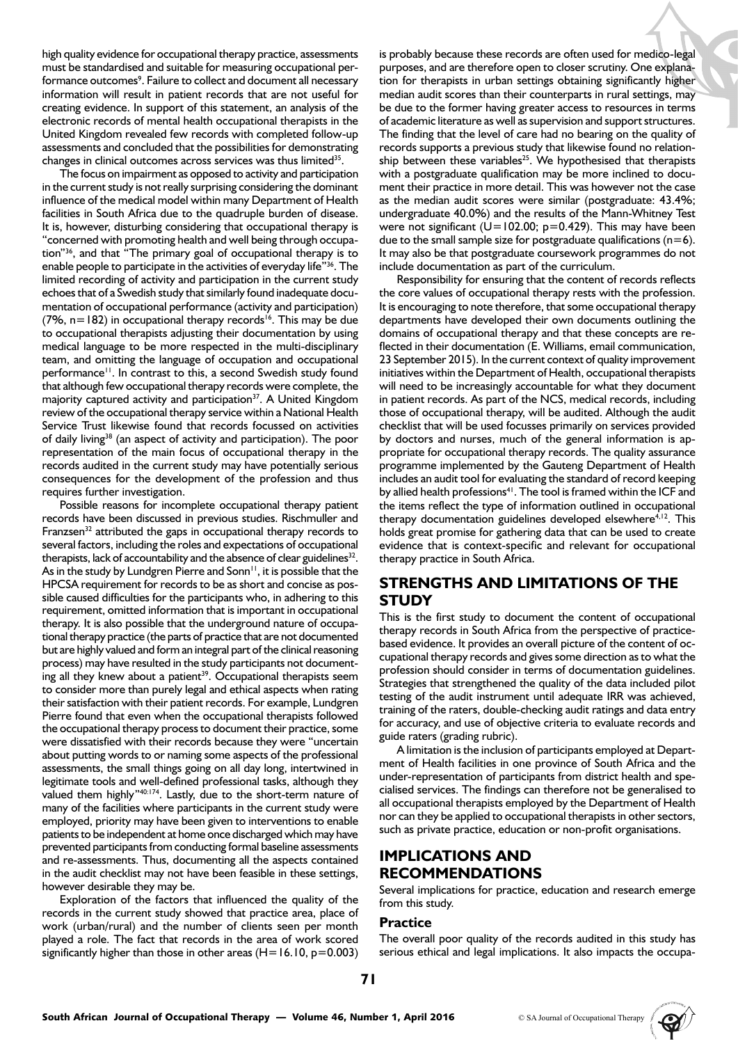high quality evidence for occupational therapy practice, assessments must be standardised and suitable for measuring occupational performance outcomes<sup>9</sup>. Failure to collect and document all necessary information will result in patient records that are not useful for creating evidence. In support of this statement, an analysis of the electronic records of mental health occupational therapists in the United Kingdom revealed few records with completed follow-up assessments and concluded that the possibilities for demonstrating changes in clinical outcomes across services was thus limited<sup>35</sup>.

The focus on impairment as opposed to activity and participation in the current study is not really surprising considering the dominant influence of the medical model within many Department of Health facilities in South Africa due to the quadruple burden of disease. It is, however, disturbing considering that occupational therapy is "concerned with promoting health and well being through occupation"36, and that "The primary goal of occupational therapy is to enable people to participate in the activities of everyday life"<sup>36</sup>. The limited recording of activity and participation in the current study echoes that of a Swedish study that similarly found inadequate documentation of occupational performance (activity and participation) (7%,  $n=182$ ) in occupational therapy records<sup>16</sup>. This may be due to occupational therapists adjusting their documentation by using medical language to be more respected in the multi-disciplinary team, and omitting the language of occupation and occupational performance<sup>11</sup>. In contrast to this, a second Swedish study found that although few occupational therapy records were complete, the majority captured activity and participation<sup>37</sup>. A United Kingdom review of the occupational therapy service within a National Health Service Trust likewise found that records focussed on activities of daily living<sup>38</sup> (an aspect of activity and participation). The poor representation of the main focus of occupational therapy in the records audited in the current study may have potentially serious consequences for the development of the profession and thus requires further investigation.

Possible reasons for incomplete occupational therapy patient records have been discussed in previous studies. Rischmuller and Franzsen<sup>32</sup> attributed the gaps in occupational therapy records to several factors, including the roles and expectations of occupational therapists, lack of accountability and the absence of clear guidelines<sup>32</sup>. As in the study by Lundgren Pierre and Sonn<sup>11</sup>, it is possible that the HPCSA requirement for records to be as short and concise as possible caused difficulties for the participants who, in adhering to this requirement, omitted information that is important in occupational therapy. It is also possible that the underground nature of occupational therapy practice (the parts of practice that are not documented but are highly valued and form an integral part of the clinical reasoning process) may have resulted in the study participants not documenting all they knew about a patient<sup>39</sup>. Occupational therapists seem to consider more than purely legal and ethical aspects when rating their satisfaction with their patient records. For example, Lundgren Pierre found that even when the occupational therapists followed the occupational therapy process to document their practice, some were dissatisfied with their records because they were "uncertain about putting words to or naming some aspects of the professional assessments, the small things going on all day long, intertwined in legitimate tools and well-defined professional tasks, although they valued them highly"40:174. Lastly, due to the short-term nature of many of the facilities where participants in the current study were employed, priority may have been given to interventions to enable patients to be independent at home once discharged which may have prevented participants from conducting formal baseline assessments and re-assessments. Thus, documenting all the aspects contained in the audit checklist may not have been feasible in these settings, however desirable they may be.

Exploration of the factors that influenced the quality of the records in the current study showed that practice area, place of work (urban/rural) and the number of clients seen per month played a role. The fact that records in the area of work scored significantly higher than those in other areas  $(H=16.10, p=0.003)$ 

is probably because these records are often used for medico-legal purposes, and are therefore open to closer scrutiny. One explanation for therapists in urban settings obtaining significantly higher median audit scores than their counterparts in rural settings, may be due to the former having greater access to resources in terms of academic literature as well as supervision and support structures. The finding that the level of care had no bearing on the quality of records supports a previous study that likewise found no relationship between these variables<sup>25</sup>. We hypothesised that therapists with a postgraduate qualification may be more inclined to document their practice in more detail. This was however not the case as the median audit scores were similar (postgraduate: 43.4%; undergraduate 40.0%) and the results of the Mann-Whitney Test were not significant ( $U=102.00$ ; p=0.429). This may have been due to the small sample size for postgraduate qualifications ( $n=6$ ). It may also be that postgraduate coursework programmes do not include documentation as part of the curriculum.

Responsibility for ensuring that the content of records reflects the core values of occupational therapy rests with the profession. It is encouraging to note therefore, that some occupational therapy departments have developed their own documents outlining the domains of occupational therapy and that these concepts are reflected in their documentation (E. Williams, email communication, 23 September 2015). In the current context of quality improvement initiatives within the Department of Health, occupational therapists will need to be increasingly accountable for what they document in patient records. As part of the NCS, medical records, including those of occupational therapy, will be audited. Although the audit checklist that will be used focusses primarily on services provided by doctors and nurses, much of the general information is appropriate for occupational therapy records. The quality assurance programme implemented by the Gauteng Department of Health includes an audit tool for evaluating the standard of record keeping by allied health professions<sup>41</sup>. The tool is framed within the ICF and the items reflect the type of information outlined in occupational therapy documentation guidelines developed elsewhere $4,12$ . This holds great promise for gathering data that can be used to create evidence that is context-specific and relevant for occupational therapy practice in South Africa.

# **STRENGTHS AND LIMITATIONS OF THE STUDY**

This is the first study to document the content of occupational therapy records in South Africa from the perspective of practicebased evidence. It provides an overall picture of the content of occupational therapy records and gives some direction as to what the profession should consider in terms of documentation guidelines. Strategies that strengthened the quality of the data included pilot testing of the audit instrument until adequate IRR was achieved, training of the raters, double-checking audit ratings and data entry for accuracy, and use of objective criteria to evaluate records and guide raters (grading rubric).

A limitation is the inclusion of participants employed at Department of Health facilities in one province of South Africa and the under-representation of participants from district health and specialised services. The findings can therefore not be generalised to all occupational therapists employed by the Department of Health nor can they be applied to occupational therapists in other sectors, such as private practice, education or non-profit organisations.

# **IMPLICATIONS AND RECOMMENDATIONS**

Several implications for practice, education and research emerge from this study.

#### **Practice**

The overall poor quality of the records audited in this study has serious ethical and legal implications. It also impacts the occupa-

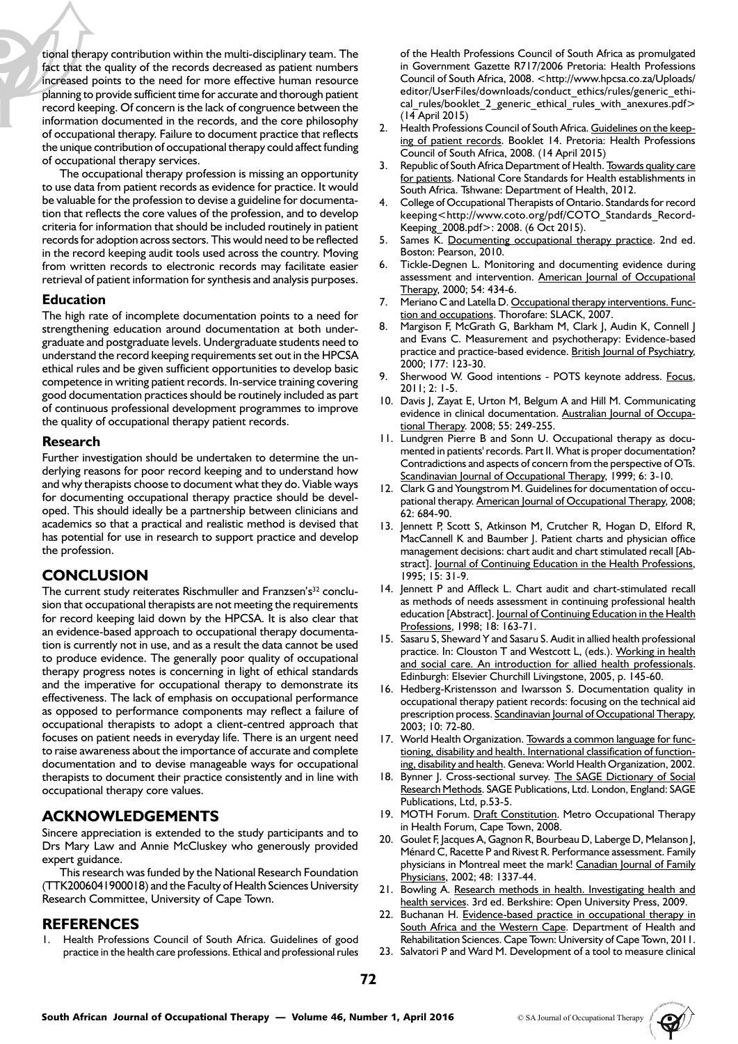tional therapy contribution within the multi-disciplinary team. The fact that the quality of the records decreased as patient numbers increased points to the need for more effective human resource planning to provide sufficient time for accurate and thorough patient record keeping. Of concern is the lack of congruence between the information documented in the records, and the core philosophy of occupational therapy. Failure to document practice that reflects the unique contribution of occupational therapy could affect funding of occupational therapy services.

The occupational therapy profession is missing an opportunity to use data from patient records as evidence for practice. It would be valuable for the profession to devise a guideline for documentation that reflects the core values of the profession, and to develop criteria for information that should be included routinely in patient records for adoption across sectors. This would need to be reflected in the record keeping audit tools used across the country. Moving from written records to electronic records may facilitate easier retrieval of patient information for synthesis and analysis purposes.

#### **Education**

The high rate of incomplete documentation points to a need for strengthening education around documentation at both undergraduate and postgraduate levels. Undergraduate students need to understand the record keeping requirements set out in the HPCSA ethical rules and be given sufficient opportunities to develop basic competence in writing patient records. In-service training covering good documentation practices should be routinely included as part of continuous professional development programmes to improve the quality of occupational therapy patient records.

#### **Research**

Further investigation should be undertaken to determine the underlying reasons for poor record keeping and to understand how and why therapists choose to document what they do. Viable ways for documenting occupational therapy practice should be developed. This should ideally be a partnership between clinicians and academics so that a practical and realistic method is devised that has potential for use in research to support practice and develop the profession.

# **CONCLUSION**

The current study reiterates Rischmuller and Franzsen's<sup>32</sup> conclusion that occupational therapists are not meeting the requirements for record keeping laid down by the HPCSA. It is also clear that an evidence-based approach to occupational therapy documentation is currently not in use, and as a result the data cannot be used to produce evidence. The generally poor quality of occupational therapy progress notes is concerning in light of ethical standards and the imperative for occupational therapy to demonstrate its effectiveness. The lack of emphasis on occupational performance as opposed to performance components may reflect a failure of occupational therapists to adopt a client-centred approach that focuses on patient needs in everyday life. There is an urgent need to raise awareness about the importance of accurate and complete documentation and to devise manageable ways for occupational therapists to document their practice consistently and in line with occupational therapy core values.

# **ACKNOWLEDGEMENTS**

Sincere appreciation is extended to the study participants and to Drs Mary Law and Annie McCluskey who generously provided expert guidance.

This research was funded by the National Research Foundation (TTK2006041900018) and the Faculty of Health Sciences University Research Committee, University of Cape Town.

# **REFERENCES**

Health Professions Council of South Africa. Guidelines of good practice in the health care professions. Ethical and professional rules of the Health Professions Council of South Africa as promulgated in Government Gazette R717/2006 Pretoria: Health Professions Council of South Africa, 2008. <http://www.hpcsa.co.za/Uploads/ editor/UserFiles/downloads/conduct\_ethics/rules/generic\_ethical rules/booklet 2 generic ethical rules with anexures.pdf> (14 April 2015)

- 2. Health Professions Council of South Africa. Guidelines on the keeping of patient records. Booklet 14. Pretoria: Health Professions Council of South Africa, 2008. (14 April 2015)
- Republic of South Africa Department of Health. Towards quality care for patients. National Core Standards for Health establishments in South Africa. Tshwane: Department of Health, 2012.
- 4. College of Occupational Therapists of Ontario. Standards for record keeping<http://www.coto.org/pdf/COTO\_Standards\_Record-Keeping\_2008.pdf>: 2008. (6 Oct 2015).
- Sames K. Documenting occupational therapy practice. 2nd ed. Boston: Pearson, 2010.
- 6. Tickle-Degnen L. Monitoring and documenting evidence during assessment and intervention. American Journal of Occupational Therapy, 2000; 54: 434-6.
- 7. Meriano C and Latella D. Occupational therapy interventions. Function and occupations. Thorofare: SLACK, 2007.
- 8. Margison F, McGrath G, Barkham M, Clark J, Audin K, Connell J and Evans C. Measurement and psychotherapy: Evidence-based practice and practice-based evidence. British Journal of Psychiatry, 2000; 177: 123-30.
- 9. Sherwood W. Good intentions POTS keynote address. Focus, 2011; 2: 1-5.
- 10. Davis J, Zayat E, Urton M, Belgum A and Hill M. Communicating evidence in clinical documentation. Australian Journal of Occupational Therapy. 2008; 55: 249-255.
- 11. Lundgren Pierre B and Sonn U. Occupational therapy as documented in patients' records. Part II. What is proper documentation? Contradictions and aspects of concern from the perspective of OTs. Scandinavian Journal of Occupational Therapy, 1999; 6: 3-10.
- 12. Clark G and Youngstrom M. Guidelines for documentation of occupational therapy. American Journal of Occupational Therapy, 2008; 62: 684-90.
- 13. Jennett P, Scott S, Atkinson M, Crutcher R, Hogan D, Elford R, MacCannell K and Baumber J. Patient charts and physician office management decisions: chart audit and chart stimulated recall [Abstract]. Journal of Continuing Education in the Health Professions, 1995; 15: 31-9.
- 14. Jennett P and Affleck L. Chart audit and chart-stimulated recall as methods of needs assessment in continuing professional health education [Abstract]. Journal of Continuing Education in the Health Professions, 1998; 18: 163-71.
- 15. Sasaru S, Sheward Y and Sasaru S. Audit in allied health professional practice. In: Clouston T and Westcott L, (eds.). Working in health and social care. An introduction for allied health professionals. Edinburgh: Elsevier Churchill Livingstone, 2005, p. 145-60.
- 16. Hedberg-Kristensson and Iwarsson S. Documentation quality in occupational therapy patient records: focusing on the technical aid prescription process. Scandinavian Journal of Occupational Therapy, 2003; 10: 72-80.
- 17. World Health Organization. Towards a common language for functioning, disability and health. International classification of functioning, disability and health. Geneva: World Health Organization, 2002.
- 18. Bynner J. Cross-sectional survey. The SAGE Dictionary of Social Research Methods. SAGE Publications, Ltd. London, England: SAGE Publications, Ltd, p.53-5.
- 19. MOTH Forum. Draft Constitution. Metro Occupational Therapy in Health Forum, Cape Town, 2008.
- 20. Goulet F, Jacques A, Gagnon R, Bourbeau D, Laberge D, Melanson J, Ménard C, Racette P and Rivest R. Performance assessment. Family physicians in Montreal meet the mark! Canadian Journal of Family Physicians, 2002; 48: 1337-44.
- 21. Bowling A. Research methods in health. Investigating health and health services. 3rd ed. Berkshire: Open University Press, 2009.
- 22. Buchanan H. Evidence-based practice in occupational therapy in South Africa and the Western Cape. Department of Health and Rehabilitation Sciences. Cape Town: University of Cape Town, 2011.
- 23. Salvatori P and Ward M. Development of a tool to measure clinical